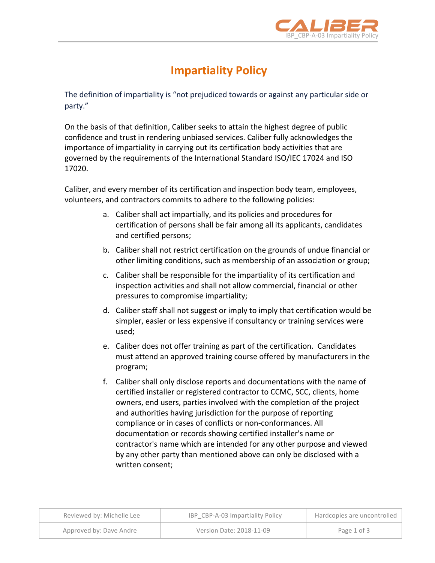

## **Impartiality Policy**

The definition of impartiality is "not prejudiced towards or against any particular side or party."

On the basis of that definition, Caliber seeks to attain the highest degree of public confidence and trust in rendering unbiased services. Caliber fully acknowledges the importance of impartiality in carrying out its certification body activities that are governed by the requirements of the International Standard ISO/IEC 17024 and ISO 17020. 

Caliber, and every member of its certification and inspection body team, employees, volunteers, and contractors commits to adhere to the following policies:

- a. Caliber shall act impartially, and its policies and procedures for certification of persons shall be fair among all its applicants, candidates and certified persons;
- b. Caliber shall not restrict certification on the grounds of undue financial or other limiting conditions, such as membership of an association or group;
- c. Caliber shall be responsible for the impartiality of its certification and inspection activities and shall not allow commercial, financial or other pressures to compromise impartiality;
- d. Caliber staff shall not suggest or imply to imply that certification would be simpler, easier or less expensive if consultancy or training services were used;
- e. Caliber does not offer training as part of the certification. Candidates must attend an approved training course offered by manufacturers in the program;
- f. Caliber shall only disclose reports and documentations with the name of certified installer or registered contractor to CCMC, SCC, clients, home owners, end users, parties involved with the completion of the project and authorities having jurisdiction for the purpose of reporting compliance or in cases of conflicts or non-conformances. All documentation or records showing certified installer's name or contractor's name which are intended for any other purpose and viewed by any other party than mentioned above can only be disclosed with a written consent;

| Reviewed by: Michelle Lee | IBP CBP-A-03 Impartiality Policy | Hardcopies are uncontrolled |
|---------------------------|----------------------------------|-----------------------------|
| Approved by: Dave Andre   | Version Date: 2018-11-09         | Page 1 of 3                 |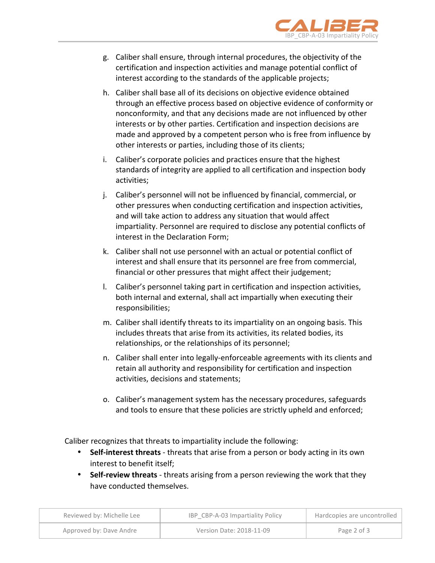

- g. Caliber shall ensure, through internal procedures, the objectivity of the certification and inspection activities and manage potential conflict of interest according to the standards of the applicable projects;
- h. Caliber shall base all of its decisions on objective evidence obtained through an effective process based on objective evidence of conformity or nonconformity, and that any decisions made are not influenced by other interests or by other parties. Certification and inspection decisions are made and approved by a competent person who is free from influence by other interests or parties, including those of its clients;
- i. Caliber's corporate policies and practices ensure that the highest standards of integrity are applied to all certification and inspection body activities;
- j. Caliber's personnel will not be influenced by financial, commercial, or other pressures when conducting certification and inspection activities, and will take action to address any situation that would affect impartiality. Personnel are required to disclose any potential conflicts of interest in the Declaration Form;
- k. Caliber shall not use personnel with an actual or potential conflict of interest and shall ensure that its personnel are free from commercial, financial or other pressures that might affect their judgement;
- I. Caliber's personnel taking part in certification and inspection activities, both internal and external, shall act impartially when executing their responsibilities;
- m. Caliber shall identify threats to its impartiality on an ongoing basis. This includes threats that arise from its activities, its related bodies, its relationships, or the relationships of its personnel;
- n. Caliber shall enter into legally-enforceable agreements with its clients and retain all authority and responsibility for certification and inspection activities, decisions and statements;
- o. Caliber's management system has the necessary procedures, safeguards and tools to ensure that these policies are strictly upheld and enforced;

Caliber recognizes that threats to impartiality include the following:

- Self-interest threats threats that arise from a person or body acting in its own interest to benefit itself:
- Self-review threats threats arising from a person reviewing the work that they have conducted themselves.

| Reviewed by: Michelle Lee | IBP CBP-A-03 Impartiality Policy | Hardcopies are uncontrolled |
|---------------------------|----------------------------------|-----------------------------|
| Approved by: Dave Andre   | Version Date: 2018-11-09         | Page 2 of 3                 |